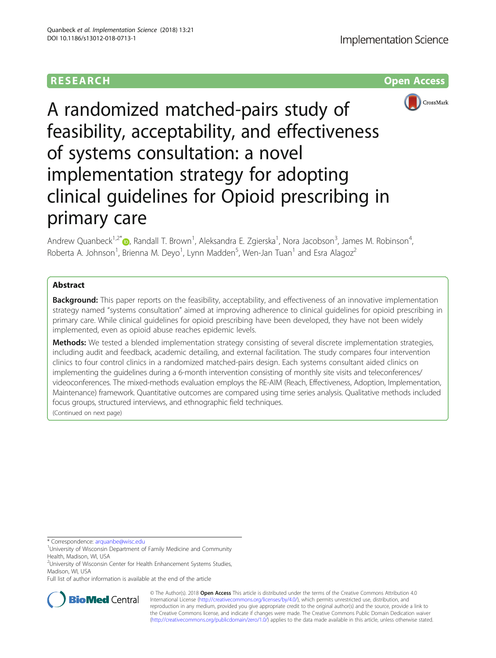# **RESEARCH RESEARCH** *CONSTRUCTER ACCESS*



# A randomized matched-pairs study of feasibility, acceptability, and effectiveness of systems consultation: a novel implementation strategy for adopting clinical guidelines for Opioid prescribing in primary care

Andrew Quanbeck<sup>1[,](http://orcid.org/0000-0003-0762-4804)2\*</sup>iD, Randall T. Brown<sup>1</sup>, Aleksandra E. Zgierska<sup>1</sup>, Nora Jacobson<sup>3</sup>, James M. Robinson<sup>4</sup> , Roberta A. Johnson<sup>1</sup>, Brienna M. Deyo<sup>1</sup>, Lynn Madden<sup>5</sup>, Wen-Jan Tuan<sup>1</sup> and Esra Alagoz<sup>2</sup>

# Abstract

**Background:** This paper reports on the feasibility, acceptability, and effectiveness of an innovative implementation strategy named "systems consultation" aimed at improving adherence to clinical guidelines for opioid prescribing in primary care. While clinical guidelines for opioid prescribing have been developed, they have not been widely implemented, even as opioid abuse reaches epidemic levels.

**Methods:** We tested a blended implementation strategy consisting of several discrete implementation strategies, including audit and feedback, academic detailing, and external facilitation. The study compares four intervention clinics to four control clinics in a randomized matched-pairs design. Each systems consultant aided clinics on implementing the guidelines during a 6-month intervention consisting of monthly site visits and teleconferences/ videoconferences. The mixed-methods evaluation employs the RE-AIM (Reach, Effectiveness, Adoption, Implementation, Maintenance) framework. Quantitative outcomes are compared using time series analysis. Qualitative methods included focus groups, structured interviews, and ethnographic field techniques.

(Continued on next page)

\* Correspondence: [arquanbe@wisc.edu](mailto:arquanbe@wisc.edu) <sup>1</sup>

Full list of author information is available at the end of the article



© The Author(s). 2018 Open Access This article is distributed under the terms of the Creative Commons Attribution 4.0 International License [\(http://creativecommons.org/licenses/by/4.0/](http://creativecommons.org/licenses/by/4.0/)), which permits unrestricted use, distribution, and reproduction in any medium, provided you give appropriate credit to the original author(s) and the source, provide a link to the Creative Commons license, and indicate if changes were made. The Creative Commons Public Domain Dedication waiver [\(http://creativecommons.org/publicdomain/zero/1.0/](http://creativecommons.org/publicdomain/zero/1.0/)) applies to the data made available in this article, unless otherwise stated.

<sup>&</sup>lt;sup>1</sup>University of Wisconsin Department of Family Medicine and Community Health, Madison, WI, USA

<sup>&</sup>lt;sup>2</sup>University of Wisconsin Center for Health Enhancement Systems Studies, Madison, WI, USA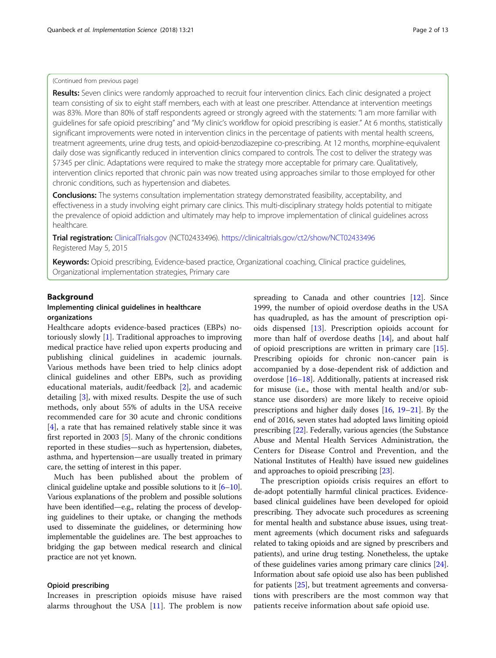Results: Seven clinics were randomly approached to recruit four intervention clinics. Each clinic designated a project team consisting of six to eight staff members, each with at least one prescriber. Attendance at intervention meetings was 83%. More than 80% of staff respondents agreed or strongly agreed with the statements: "I am more familiar with guidelines for safe opioid prescribing" and "My clinic's workflow for opioid prescribing is easier." At 6 months, statistically significant improvements were noted in intervention clinics in the percentage of patients with mental health screens, treatment agreements, urine drug tests, and opioid-benzodiazepine co-prescribing. At 12 months, morphine-equivalent daily dose was significantly reduced in intervention clinics compared to controls. The cost to deliver the strategy was \$7345 per clinic. Adaptations were required to make the strategy more acceptable for primary care. Qualitatively, intervention clinics reported that chronic pain was now treated using approaches similar to those employed for other chronic conditions, such as hypertension and diabetes.

**Conclusions:** The systems consultation implementation strategy demonstrated feasibility, acceptability, and effectiveness in a study involving eight primary care clinics. This multi-disciplinary strategy holds potential to mitigate the prevalence of opioid addiction and ultimately may help to improve implementation of clinical guidelines across healthcare.

**Trial registration:** [ClinicalTrials.gov](http://clinicaltrials.gov) (NCT02433496). <https://clinicaltrials.gov/ct2/show/NCT02433496> Registered May 5, 2015

Keywords: Opioid prescribing, Evidence-based practice, Organizational coaching, Clinical practice quidelines, Organizational implementation strategies, Primary care

#### Background

# Implementing clinical guidelines in healthcare organizations

Healthcare adopts evidence-based practices (EBPs) notoriously slowly [[1\]](#page-11-0). Traditional approaches to improving medical practice have relied upon experts producing and publishing clinical guidelines in academic journals. Various methods have been tried to help clinics adopt clinical guidelines and other EBPs, such as providing educational materials, audit/feedback [[2\]](#page-11-0), and academic detailing [\[3](#page-11-0)], with mixed results. Despite the use of such methods, only about 55% of adults in the USA receive recommended care for 30 acute and chronic conditions [[4\]](#page-11-0), a rate that has remained relatively stable since it was first reported in 2003 [\[5](#page-11-0)]. Many of the chronic conditions reported in these studies—such as hypertension, diabetes, asthma, and hypertension—are usually treated in primary care, the setting of interest in this paper.

Much has been published about the problem of clinical guideline uptake and possible solutions to it  $[6-10]$  $[6-10]$  $[6-10]$  $[6-10]$ . Various explanations of the problem and possible solutions have been identified—e.g., relating the process of developing guidelines to their uptake, or changing the methods used to disseminate the guidelines, or determining how implementable the guidelines are. The best approaches to bridging the gap between medical research and clinical practice are not yet known.

# Opioid prescribing

Increases in prescription opioids misuse have raised alarms throughout the USA  $[11]$ . The problem is now

spreading to Canada and other countries [[12\]](#page-11-0). Since 1999, the number of opioid overdose deaths in the USA has quadrupled, as has the amount of prescription opioids dispensed [[13](#page-11-0)]. Prescription opioids account for more than half of overdose deaths [[14\]](#page-11-0), and about half of opioid prescriptions are written in primary care [\[15](#page-11-0)]. Prescribing opioids for chronic non-cancer pain is accompanied by a dose-dependent risk of addiction and overdose [\[16](#page-11-0)–[18\]](#page-11-0). Additionally, patients at increased risk for misuse (i.e., those with mental health and/or substance use disorders) are more likely to receive opioid prescriptions and higher daily doses [[16](#page-11-0), [19](#page-11-0)–[21\]](#page-11-0). By the end of 2016, seven states had adopted laws limiting opioid prescribing [\[22\]](#page-11-0). Federally, various agencies (the Substance Abuse and Mental Health Services Administration, the Centers for Disease Control and Prevention, and the National Institutes of Health) have issued new guidelines and approaches to opioid prescribing [[23](#page-11-0)].

The prescription opioids crisis requires an effort to de-adopt potentially harmful clinical practices. Evidencebased clinical guidelines have been developed for opioid prescribing. They advocate such procedures as screening for mental health and substance abuse issues, using treatment agreements (which document risks and safeguards related to taking opioids and are signed by prescribers and patients), and urine drug testing. Nonetheless, the uptake of these guidelines varies among primary care clinics [[24](#page-11-0)]. Information about safe opioid use also has been published for patients [[25](#page-11-0)], but treatment agreements and conversations with prescribers are the most common way that patients receive information about safe opioid use.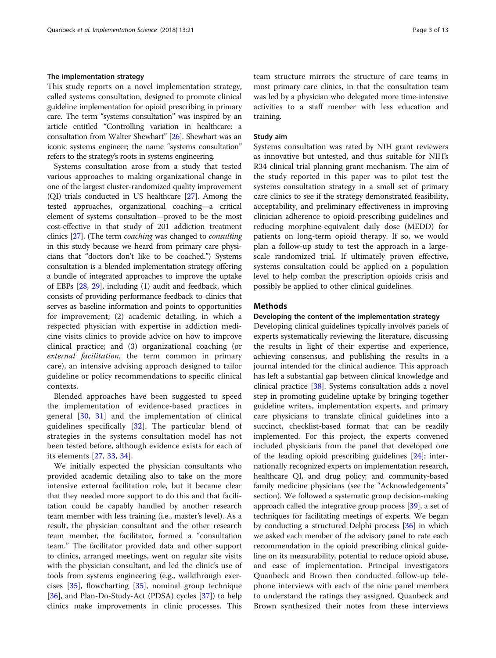#### The implementation strategy

This study reports on a novel implementation strategy, called systems consultation, designed to promote clinical guideline implementation for opioid prescribing in primary care. The term "systems consultation" was inspired by an article entitled "Controlling variation in healthcare: a consultation from Walter Shewhart" [\[26\]](#page-11-0). Shewhart was an iconic systems engineer; the name "systems consultation" refers to the strategy's roots in systems engineering.

Systems consultation arose from a study that tested various approaches to making organizational change in one of the largest cluster-randomized quality improvement (QI) trials conducted in US healthcare [[27](#page-11-0)]. Among the tested approaches, organizational coaching—a critical element of systems consultation—proved to be the most cost-effective in that study of 201 addiction treatment clinics [\[27\]](#page-11-0). (The term coaching was changed to consulting in this study because we heard from primary care physicians that "doctors don't like to be coached.") Systems consultation is a blended implementation strategy offering a bundle of integrated approaches to improve the uptake of EBPs [\[28](#page-11-0), [29\]](#page-12-0), including (1) audit and feedback, which consists of providing performance feedback to clinics that serves as baseline information and points to opportunities for improvement; (2) academic detailing, in which a respected physician with expertise in addiction medicine visits clinics to provide advice on how to improve clinical practice; and (3) organizational coaching (or external facilitation, the term common in primary care), an intensive advising approach designed to tailor guideline or policy recommendations to specific clinical contexts.

Blended approaches have been suggested to speed the implementation of evidence-based practices in general [\[30](#page-12-0), [31\]](#page-12-0) and the implementation of clinical guidelines specifically [[32\]](#page-12-0). The particular blend of strategies in the systems consultation model has not been tested before, although evidence exists for each of its elements [\[27,](#page-11-0) [33,](#page-12-0) [34](#page-12-0)].

We initially expected the physician consultants who provided academic detailing also to take on the more intensive external facilitation role, but it became clear that they needed more support to do this and that facilitation could be capably handled by another research team member with less training (i.e., master's level). As a result, the physician consultant and the other research team member, the facilitator, formed a "consultation team." The facilitator provided data and other support to clinics, arranged meetings, went on regular site visits with the physician consultant, and led the clinic's use of tools from systems engineering (e.g., walkthrough exercises [[35](#page-12-0)], flowcharting [[35\]](#page-12-0), nominal group technique [[36\]](#page-12-0), and Plan-Do-Study-Act (PDSA) cycles [\[37](#page-12-0)]) to help clinics make improvements in clinic processes. This team structure mirrors the structure of care teams in most primary care clinics, in that the consultation team was led by a physician who delegated more time-intensive activities to a staff member with less education and training.

#### Study aim

Systems consultation was rated by NIH grant reviewers as innovative but untested, and thus suitable for NIH's R34 clinical trial planning grant mechanism. The aim of the study reported in this paper was to pilot test the systems consultation strategy in a small set of primary care clinics to see if the strategy demonstrated feasibility, acceptability, and preliminary effectiveness in improving clinician adherence to opioid-prescribing guidelines and reducing morphine-equivalent daily dose (MEDD) for patients on long-term opioid therapy. If so, we would plan a follow-up study to test the approach in a largescale randomized trial. If ultimately proven effective, systems consultation could be applied on a population level to help combat the prescription opioids crisis and possibly be applied to other clinical guidelines.

# **Methods**

#### Developing the content of the implementation strategy

Developing clinical guidelines typically involves panels of experts systematically reviewing the literature, discussing the results in light of their expertise and experience, achieving consensus, and publishing the results in a journal intended for the clinical audience. This approach has left a substantial gap between clinical knowledge and clinical practice [\[38](#page-12-0)]. Systems consultation adds a novel step in promoting guideline uptake by bringing together guideline writers, implementation experts, and primary care physicians to translate clinical guidelines into a succinct, checklist-based format that can be readily implemented. For this project, the experts convened included physicians from the panel that developed one of the leading opioid prescribing guidelines [\[24](#page-11-0)]; internationally recognized experts on implementation research, healthcare QI, and drug policy; and community-based family medicine physicians (see the "Acknowledgements" section). We followed a systematic group decision-making approach called the integrative group process [\[39\]](#page-12-0), a set of techniques for facilitating meetings of experts. We began by conducting a structured Delphi process [\[36](#page-12-0)] in which we asked each member of the advisory panel to rate each recommendation in the opioid prescribing clinical guideline on its measurability, potential to reduce opioid abuse, and ease of implementation. Principal investigators Quanbeck and Brown then conducted follow-up telephone interviews with each of the nine panel members to understand the ratings they assigned. Quanbeck and Brown synthesized their notes from these interviews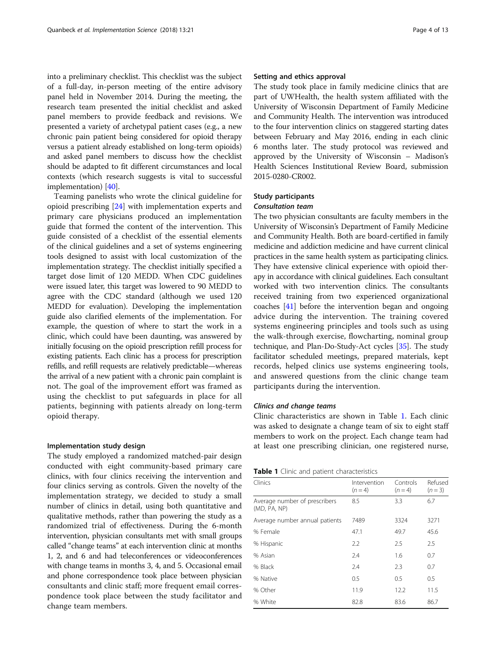<span id="page-3-0"></span>into a preliminary checklist. This checklist was the subject of a full-day, in-person meeting of the entire advisory panel held in November 2014. During the meeting, the research team presented the initial checklist and asked panel members to provide feedback and revisions. We presented a variety of archetypal patient cases (e.g., a new chronic pain patient being considered for opioid therapy versus a patient already established on long-term opioids) and asked panel members to discuss how the checklist should be adapted to fit different circumstances and local contexts (which research suggests is vital to successful implementation) [\[40\]](#page-12-0).

Teaming panelists who wrote the clinical guideline for opioid prescribing [[24](#page-11-0)] with implementation experts and primary care physicians produced an implementation guide that formed the content of the intervention. This guide consisted of a checklist of the essential elements of the clinical guidelines and a set of systems engineering tools designed to assist with local customization of the implementation strategy. The checklist initially specified a target dose limit of 120 MEDD. When CDC guidelines were issued later, this target was lowered to 90 MEDD to agree with the CDC standard (although we used 120 MEDD for evaluation). Developing the implementation guide also clarified elements of the implementation. For example, the question of where to start the work in a clinic, which could have been daunting, was answered by initially focusing on the opioid prescription refill process for existing patients. Each clinic has a process for prescription refills, and refill requests are relatively predictable—whereas the arrival of a new patient with a chronic pain complaint is not. The goal of the improvement effort was framed as using the checklist to put safeguards in place for all patients, beginning with patients already on long-term opioid therapy.

#### Implementation study design

The study employed a randomized matched-pair design conducted with eight community-based primary care clinics, with four clinics receiving the intervention and four clinics serving as controls. Given the novelty of the implementation strategy, we decided to study a small number of clinics in detail, using both quantitative and qualitative methods, rather than powering the study as a randomized trial of effectiveness. During the 6-month intervention, physician consultants met with small groups called "change teams" at each intervention clinic at months 1, 2, and 6 and had teleconferences or videoconferences with change teams in months 3, 4, and 5. Occasional email and phone correspondence took place between physician consultants and clinic staff; more frequent email correspondence took place between the study facilitator and change team members.

#### Setting and ethics approval

The study took place in family medicine clinics that are part of UWHealth, the health system affiliated with the University of Wisconsin Department of Family Medicine and Community Health. The intervention was introduced to the four intervention clinics on staggered starting dates between February and May 2016, ending in each clinic 6 months later. The study protocol was reviewed and approved by the University of Wisconsin – Madison's Health Sciences Institutional Review Board, submission 2015-0280-CR002.

#### Study participants

#### Consultation team

The two physician consultants are faculty members in the University of Wisconsin's Department of Family Medicine and Community Health. Both are board-certified in family medicine and addiction medicine and have current clinical practices in the same health system as participating clinics. They have extensive clinical experience with opioid therapy in accordance with clinical guidelines. Each consultant worked with two intervention clinics. The consultants received training from two experienced organizational coaches [\[41\]](#page-12-0) before the intervention began and ongoing advice during the intervention. The training covered systems engineering principles and tools such as using the walk-through exercise, flowcharting, nominal group technique, and Plan-Do-Study-Act cycles [[35\]](#page-12-0). The study facilitator scheduled meetings, prepared materials, kept records, helped clinics use systems engineering tools, and answered questions from the clinic change team participants during the intervention.

#### Clinics and change teams

Clinic characteristics are shown in Table 1. Each clinic was asked to designate a change team of six to eight staff members to work on the project. Each change team had at least one prescribing clinician, one registered nurse,

| Table 1 Clinic and patient characteristics |
|--------------------------------------------|
|                                            |

| Clinics                                       | Intervention<br>$(n = 4)$ | Controls<br>$(n = 4)$ | Refused<br>$(n=3)$ |
|-----------------------------------------------|---------------------------|-----------------------|--------------------|
| Average number of prescribers<br>(MD, PA, NP) | 8.5                       | 3.3                   | 6.7                |
| Average number annual patients                | 7489                      | 3324                  | 3271               |
| % Female                                      | 47.1                      | 49.7                  | 45.6               |
| % Hispanic                                    | 2.2                       | 2.5                   | 2.5                |
| % Asian                                       | 7.4                       | 1.6                   | 0.7                |
| % Black                                       | 7.4                       | 23                    | 0.7                |
| % Native                                      | 0.5                       | 0.5                   | 0.5                |
| % Other                                       | 11.9                      | 12.2                  | 11.5               |
| % White                                       | 82.8                      | 83.6                  | 86.7               |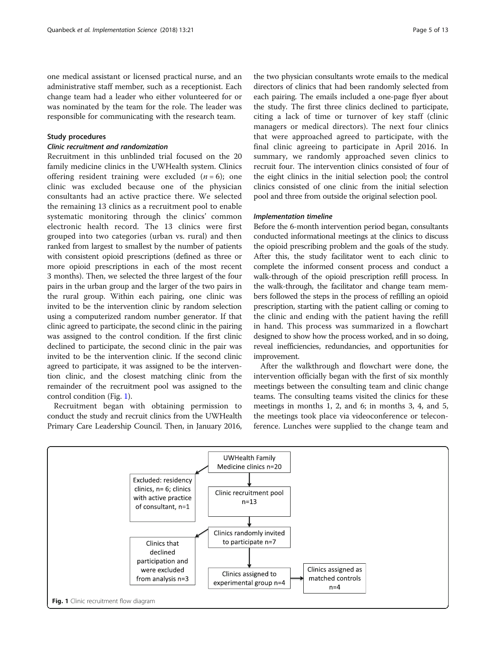one medical assistant or licensed practical nurse, and an administrative staff member, such as a receptionist. Each change team had a leader who either volunteered for or was nominated by the team for the role. The leader was responsible for communicating with the research team.

# Study procedures

#### Clinic recruitment and randomization

Recruitment in this unblinded trial focused on the 20 family medicine clinics in the UWHealth system. Clinics offering resident training were excluded  $(n = 6)$ ; one clinic was excluded because one of the physician consultants had an active practice there. We selected the remaining 13 clinics as a recruitment pool to enable systematic monitoring through the clinics' common electronic health record. The 13 clinics were first grouped into two categories (urban vs. rural) and then ranked from largest to smallest by the number of patients with consistent opioid prescriptions (defined as three or more opioid prescriptions in each of the most recent 3 months). Then, we selected the three largest of the four pairs in the urban group and the larger of the two pairs in the rural group. Within each pairing, one clinic was invited to be the intervention clinic by random selection using a computerized random number generator. If that clinic agreed to participate, the second clinic in the pairing was assigned to the control condition. If the first clinic declined to participate, the second clinic in the pair was invited to be the intervention clinic. If the second clinic agreed to participate, it was assigned to be the intervention clinic, and the closest matching clinic from the remainder of the recruitment pool was assigned to the control condition (Fig. 1).

Recruitment began with obtaining permission to conduct the study and recruit clinics from the UWHealth Primary Care Leadership Council. Then, in January 2016,

the two physician consultants wrote emails to the medical directors of clinics that had been randomly selected from each pairing. The emails included a one-page flyer about the study. The first three clinics declined to participate, citing a lack of time or turnover of key staff (clinic managers or medical directors). The next four clinics that were approached agreed to participate, with the final clinic agreeing to participate in April 2016. In summary, we randomly approached seven clinics to recruit four. The intervention clinics consisted of four of the eight clinics in the initial selection pool; the control clinics consisted of one clinic from the initial selection pool and three from outside the original selection pool.

#### Implementation timeline

Before the 6-month intervention period began, consultants conducted informational meetings at the clinics to discuss the opioid prescribing problem and the goals of the study. After this, the study facilitator went to each clinic to complete the informed consent process and conduct a walk-through of the opioid prescription refill process. In the walk-through, the facilitator and change team members followed the steps in the process of refilling an opioid prescription, starting with the patient calling or coming to the clinic and ending with the patient having the refill in hand. This process was summarized in a flowchart designed to show how the process worked, and in so doing, reveal inefficiencies, redundancies, and opportunities for improvement.

After the walkthrough and flowchart were done, the intervention officially began with the first of six monthly meetings between the consulting team and clinic change teams. The consulting teams visited the clinics for these meetings in months 1, 2, and 6; in months 3, 4, and 5, the meetings took place via videoconference or teleconference. Lunches were supplied to the change team and

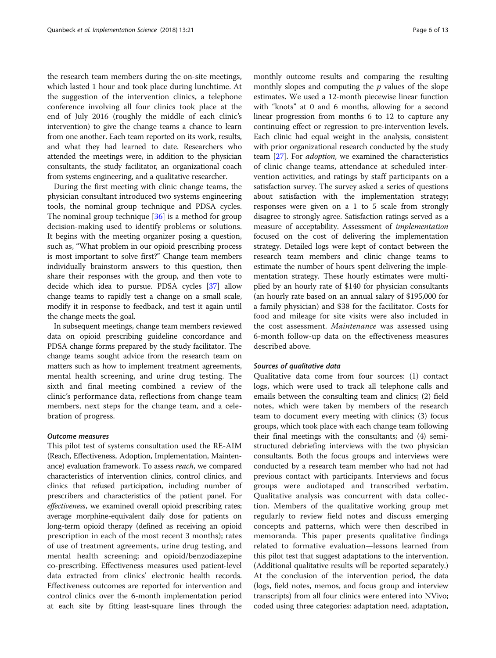the research team members during the on-site meetings, which lasted 1 hour and took place during lunchtime. At the suggestion of the intervention clinics, a telephone conference involving all four clinics took place at the end of July 2016 (roughly the middle of each clinic's intervention) to give the change teams a chance to learn from one another. Each team reported on its work, results, and what they had learned to date. Researchers who attended the meetings were, in addition to the physician consultants, the study facilitator, an organizational coach from systems engineering, and a qualitative researcher.

During the first meeting with clinic change teams, the physician consultant introduced two systems engineering tools, the nominal group technique and PDSA cycles. The nominal group technique [\[36](#page-12-0)] is a method for group decision-making used to identify problems or solutions. It begins with the meeting organizer posing a question, such as, "What problem in our opioid prescribing process is most important to solve first?" Change team members individually brainstorm answers to this question, then share their responses with the group, and then vote to decide which idea to pursue. PDSA cycles [\[37\]](#page-12-0) allow change teams to rapidly test a change on a small scale, modify it in response to feedback, and test it again until the change meets the goal.

In subsequent meetings, change team members reviewed data on opioid prescribing guideline concordance and PDSA change forms prepared by the study facilitator. The change teams sought advice from the research team on matters such as how to implement treatment agreements, mental health screening, and urine drug testing. The sixth and final meeting combined a review of the clinic's performance data, reflections from change team members, next steps for the change team, and a celebration of progress.

#### Outcome measures

This pilot test of systems consultation used the RE-AIM (Reach, Effectiveness, Adoption, Implementation, Maintenance) evaluation framework. To assess reach, we compared characteristics of intervention clinics, control clinics, and clinics that refused participation, including number of prescribers and characteristics of the patient panel. For effectiveness, we examined overall opioid prescribing rates; average morphine-equivalent daily dose for patients on long-term opioid therapy (defined as receiving an opioid prescription in each of the most recent 3 months); rates of use of treatment agreements, urine drug testing, and mental health screening; and opioid/benzodiazepine co-prescribing. Effectiveness measures used patient-level data extracted from clinics' electronic health records. Effectiveness outcomes are reported for intervention and control clinics over the 6-month implementation period at each site by fitting least-square lines through the

monthly outcome results and comparing the resulting monthly slopes and computing the  $p$  values of the slope estimates. We used a 12-month piecewise linear function with "knots" at 0 and 6 months, allowing for a second linear progression from months 6 to 12 to capture any continuing effect or regression to pre-intervention levels. Each clinic had equal weight in the analysis, consistent with prior organizational research conducted by the study team [\[27\]](#page-11-0). For adoption, we examined the characteristics of clinic change teams, attendance at scheduled intervention activities, and ratings by staff participants on a satisfaction survey. The survey asked a series of questions about satisfaction with the implementation strategy; responses were given on a 1 to 5 scale from strongly disagree to strongly agree. Satisfaction ratings served as a measure of acceptability. Assessment of implementation focused on the cost of delivering the implementation strategy. Detailed logs were kept of contact between the research team members and clinic change teams to estimate the number of hours spent delivering the implementation strategy. These hourly estimates were multiplied by an hourly rate of \$140 for physician consultants (an hourly rate based on an annual salary of \$195,000 for a family physician) and \$38 for the facilitator. Costs for food and mileage for site visits were also included in the cost assessment. Maintenance was assessed using 6-month follow-up data on the effectiveness measures described above.

#### Sources of qualitative data

Qualitative data come from four sources: (1) contact logs, which were used to track all telephone calls and emails between the consulting team and clinics; (2) field notes, which were taken by members of the research team to document every meeting with clinics; (3) focus groups, which took place with each change team following their final meetings with the consultants; and (4) semistructured debriefing interviews with the two physician consultants. Both the focus groups and interviews were conducted by a research team member who had not had previous contact with participants. Interviews and focus groups were audiotaped and transcribed verbatim. Qualitative analysis was concurrent with data collection. Members of the qualitative working group met regularly to review field notes and discuss emerging concepts and patterns, which were then described in memoranda. This paper presents qualitative findings related to formative evaluation—lessons learned from this pilot test that suggest adaptations to the intervention. (Additional qualitative results will be reported separately.) At the conclusion of the intervention period, the data (logs, field notes, memos, and focus group and interview transcripts) from all four clinics were entered into NVivo; coded using three categories: adaptation need, adaptation,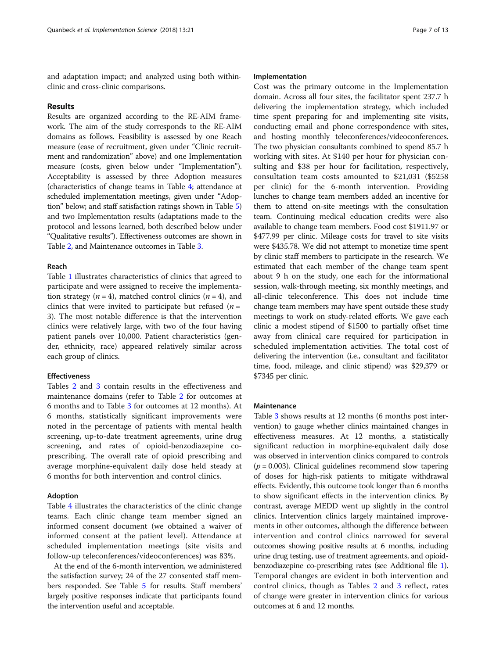and adaptation impact; and analyzed using both withinclinic and cross-clinic comparisons.

#### Results

Results are organized according to the RE-AIM framework. The aim of the study corresponds to the RE-AIM domains as follows. Feasibility is assessed by one Reach measure (ease of recruitment, given under "Clinic recruitment and randomization" above) and one Implementation measure (costs, given below under "Implementation"). Acceptability is assessed by three Adoption measures (characteristics of change teams in Table [4;](#page-9-0) attendance at scheduled implementation meetings, given under "Adoption" below; and staff satisfaction ratings shown in Table [5](#page-9-0)) and two Implementation results (adaptations made to the protocol and lessons learned, both described below under "Qualitative results"). Effectiveness outcomes are shown in Table [2](#page-7-0), and Maintenance outcomes in Table [3.](#page-8-0)

# Reach

Table [1](#page-3-0) illustrates characteristics of clinics that agreed to participate and were assigned to receive the implementation strategy ( $n = 4$ ), matched control clinics ( $n = 4$ ), and clinics that were invited to participate but refused  $(n =$ 3). The most notable difference is that the intervention clinics were relatively large, with two of the four having patient panels over 10,000. Patient characteristics (gender, ethnicity, race) appeared relatively similar across each group of clinics.

# **Effectiveness**

Tables [2](#page-7-0) and [3](#page-8-0) contain results in the effectiveness and maintenance domains (refer to Table [2](#page-7-0) for outcomes at 6 months and to Table [3](#page-8-0) for outcomes at 12 months). At 6 months, statistically significant improvements were noted in the percentage of patients with mental health screening, up-to-date treatment agreements, urine drug screening, and rates of opioid-benzodiazepine coprescribing. The overall rate of opioid prescribing and average morphine-equivalent daily dose held steady at 6 months for both intervention and control clinics.

#### Adoption

Table [4](#page-9-0) illustrates the characteristics of the clinic change teams. Each clinic change team member signed an informed consent document (we obtained a waiver of informed consent at the patient level). Attendance at scheduled implementation meetings (site visits and follow-up teleconferences/videoconferences) was 83%.

At the end of the 6-month intervention, we administered the satisfaction survey; 24 of the 27 consented staff members responded. See Table [5](#page-9-0) for results. Staff members' largely positive responses indicate that participants found the intervention useful and acceptable.

#### Implementation

Cost was the primary outcome in the Implementation domain. Across all four sites, the facilitator spent 237.7 h delivering the implementation strategy, which included time spent preparing for and implementing site visits, conducting email and phone correspondence with sites, and hosting monthly teleconferences/videoconferences. The two physician consultants combined to spend 85.7 h working with sites. At \$140 per hour for physician consulting and \$38 per hour for facilitation, respectively, consultation team costs amounted to \$21,031 (\$5258 per clinic) for the 6-month intervention. Providing lunches to change team members added an incentive for them to attend on-site meetings with the consultation team. Continuing medical education credits were also available to change team members. Food cost \$1911.97 or \$477.99 per clinic. Mileage costs for travel to site visits were \$435.78. We did not attempt to monetize time spent by clinic staff members to participate in the research. We estimated that each member of the change team spent about 9 h on the study, one each for the informational session, walk-through meeting, six monthly meetings, and all-clinic teleconference. This does not include time change team members may have spent outside these study meetings to work on study-related efforts. We gave each clinic a modest stipend of \$1500 to partially offset time away from clinical care required for participation in scheduled implementation activities. The total cost of delivering the intervention (i.e., consultant and facilitator time, food, mileage, and clinic stipend) was \$29,379 or \$7345 per clinic.

#### **Maintenance**

Table [3](#page-8-0) shows results at 12 months (6 months post intervention) to gauge whether clinics maintained changes in effectiveness measures. At 12 months, a statistically significant reduction in morphine-equivalent daily dose was observed in intervention clinics compared to controls  $(p = 0.003)$ . Clinical guidelines recommend slow tapering of doses for high-risk patients to mitigate withdrawal effects. Evidently, this outcome took longer than 6 months to show significant effects in the intervention clinics. By contrast, average MEDD went up slightly in the control clinics. Intervention clinics largely maintained improvements in other outcomes, although the difference between intervention and control clinics narrowed for several outcomes showing positive results at 6 months, including urine drug testing, use of treatment agreements, and opioidbenzodiazepine co-prescribing rates (see Additional file [1](#page-10-0)). Temporal changes are evident in both intervention and control clinics, though as Tables [2](#page-7-0) and [3](#page-8-0) reflect, rates of change were greater in intervention clinics for various outcomes at 6 and 12 months.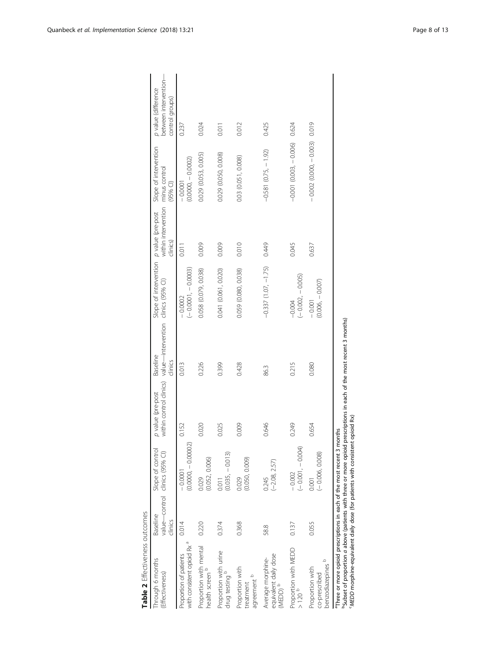<span id="page-7-0"></span>

| Through 6 months<br>(Effectiveness)                                                                                                                             | Baseline<br>clinics | Slope of control<br>value—control clinics (95% CI) | within control clinics)<br>p value (pre-post                 | value-intervention clinics (95% CI)<br>Baseline<br>clinics | Slope of intervention p value (pre-post | within intervention minus control<br>clinics) | Slope of intervention<br>$(95%$ Cl) | between intervention-<br>p value (difference<br>control groups) |
|-----------------------------------------------------------------------------------------------------------------------------------------------------------------|---------------------|----------------------------------------------------|--------------------------------------------------------------|------------------------------------------------------------|-----------------------------------------|-----------------------------------------------|-------------------------------------|-----------------------------------------------------------------|
| with consistent opioid Rx a<br>Proportion of patients                                                                                                           | 0.014               | $(0.0000, -0.00002)$<br>$-0.0001$                  | 0.152                                                        | 0.013                                                      | $(-0.0001, -0.0003)$<br>$-0.0002$       | 0.011                                         | $(0.0000, -0.0002)$<br>$-0.0001$    | 0.237                                                           |
| Proportion with mental<br>health screen <sup>b</sup>                                                                                                            | 0.220               | (0.052, 0.006)<br>0.029                            | 0.020                                                        | 0.226                                                      | 0.058 (0.079, 0.038)                    | 0.009                                         | 0.029 (0.053, 0.005)                | 0.024                                                           |
| Proportion with urine<br>drug testing <sup>b</sup>                                                                                                              | 0.374               | $(0.035, -0.013)$<br>0.011                         | 0.025                                                        | 0.399                                                      | 0.041 (0.061, 0.020)                    | 0.009                                         | 0.029 (0.050, 0.008)                | 0.011                                                           |
| Proportion with<br>agreement b<br>treatment                                                                                                                     | 0.368               | (0.050, 0.009)<br>0.029                            | 0.009                                                        | 0.428                                                      | 0.059 (0.080, 0.038)                    | 0.010                                         | 0.03 (0.051, 0.008)                 | 0.012                                                           |
| equivalent daily dose<br>(MEDD) <sup>b</sup><br>Average morphine-                                                                                               | 58.8                | $(-2.08, 2.57)$<br>0.245                           | 0.646                                                        | 86.3                                                       | $-0.337(1.07, -1.75)$                   | 0.449                                         | $-0.581(0.75, -1.92)$               | 0.425                                                           |
| Proportion with MEDD<br>> 120 <sup>b</sup>                                                                                                                      | 0.137               | $(-0.001, -0.004)$<br>$-0.002$                     | 0.249                                                        | 0.215                                                      | $(-0.002, -0.005)$<br>$-0.004$          | 0.045                                         | $-0.001$ (0.003, $-0.006$ ) 0.624   |                                                                 |
| benzodiazepines <sup>b</sup><br>Proportion with<br>co-prescribed                                                                                                | 0.055               | $(-0.006, 0.008)$<br>0.001                         | 0.654                                                        | 0.080                                                      | $(0.006, -0.007)$<br>$-0.001$           | 0.637                                         | $-0.002$ (0.000, $-0.003$ ) 0.019   |                                                                 |
| <sup>p</sup> Subset of proportion a above (patients with three or more opioid<br><sup>a</sup> Three or more opioid prescriptions in each of the most recent 3 r |                     |                                                    | prescriptions in each of the most recent 3 months)<br>nonths |                                                            |                                         |                                               |                                     |                                                                 |

cMEDD morphine-equivalent daily dose (for patients with consistent opioid Rx)

Table 2 Effectiveness outcomes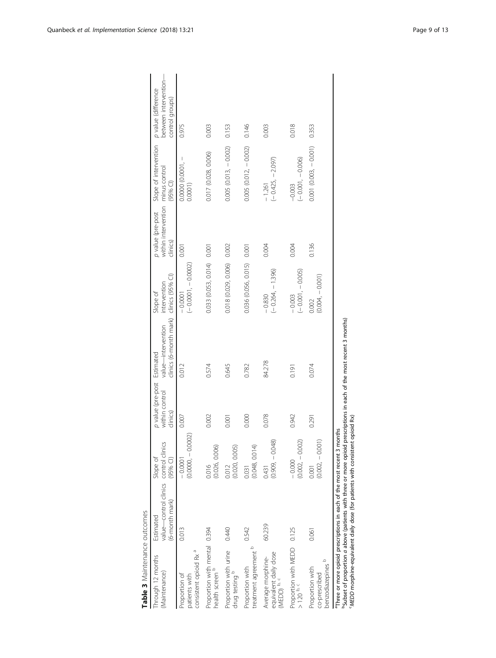<span id="page-8-0"></span>

| Table 3 Maintenance outcomes                                         |                                                                                                                                                                                                                         |                                  |                                                 |                                                           |                                              |                                                      |                                                      |                                                                 |
|----------------------------------------------------------------------|-------------------------------------------------------------------------------------------------------------------------------------------------------------------------------------------------------------------------|----------------------------------|-------------------------------------------------|-----------------------------------------------------------|----------------------------------------------|------------------------------------------------------|------------------------------------------------------|-----------------------------------------------------------------|
| Through 12 months<br>(Maintenance)                                   | value-control clinics control clinics<br>(6-month mark)<br>Estimated                                                                                                                                                    | Slope of<br>$(95%$ CI)           | p value (pre-post<br>within control<br>clinics) | clinics (6-month mark)<br>value-intervention<br>Estimated | clinics (95% CI)<br>intervention<br>Slope of | within intervention<br>p value (pre-post<br>clinics) | Slope of intervention<br>minus control<br>$(95%$ CI) | between intervention-<br>p value (difference<br>control groups) |
| consistent opioid Rx <sup>a</sup><br>Proportion of<br>patients with  | 0.013                                                                                                                                                                                                                   | $(0.0000, -0.0002)$<br>$-0.0001$ | 0.007                                           | 0.012                                                     | $(-0.0001, -0.0002)$<br>$-0.0001$            | 0.001                                                | $0.0000$ $(0.0001,-$<br>$0.0001$ )                   | 0.975                                                           |
| Proportion with mental 0.394<br>health screen b                      |                                                                                                                                                                                                                         | (0.026, 0.006)<br>0.016          | 0.002                                           | 0.574                                                     | 0.033 (0.053, 0.014)                         | 0.001                                                | 0.017 (0.028, 0.006)                                 | 0.003                                                           |
| Proportion with urine<br>drug testing b                              | 0.440                                                                                                                                                                                                                   | (0.020, 0.005)<br>0.012          | 0.001                                           | 0.645                                                     | 0.018 (0.029, 0.006)                         | 0.002                                                | $0.005(0.013, -0.002)$                               | 0.153                                                           |
| treatment agreement b<br>Proportion with                             | 0.542                                                                                                                                                                                                                   | (0.048, 0.014)<br>0.031          | 0.000                                           | 0.782                                                     | 0.036 (0.056, 0.015)                         | 0.001                                                | $0.005(0.012, -0.002)$                               | 0.146                                                           |
| equivalent daily dose<br>(MEDD) <sup>b, c</sup><br>Average morphine- | 60.239                                                                                                                                                                                                                  | $(0.909, -0.048)$<br>0.431       | 0.078                                           | 84.278                                                    | $(-0.264, -1.396)$<br>$-0.830$               | 0.004                                                | $(-0.425, -2.097)$<br>$-1.261$                       | 0.003                                                           |
| Proportion with MEDD<br>$>120$ $^{\rm b}$ $^{\rm c}$                 | 0.125                                                                                                                                                                                                                   | $(0.002, -0.002)$<br>$-0.000$    | 0.942                                           | 0.191                                                     | $(-0.001, -0.005)$<br>$-0.003$               | 0.004                                                | $(-0.001, -0.006)$<br>$-0.003$                       | 0.018                                                           |
| benzodiazepines <sup>b</sup><br>Proportion with<br>co-prescribed     | 0.061                                                                                                                                                                                                                   | $(0.002, -0.001)$<br>0.001       | 0.291                                           | 0.074                                                     | $(0.004, -0.001)$<br>0.002                   | 0.136                                                | $0.001$ $(0.003, -0.001)$                            | 0.353                                                           |
|                                                                      | <sup>b</sup> Subset of proportion a above (patients with three or more opioid prescriptions in each of the most recent 3 months)<br><sup>a</sup> Three or more opioid prescriptions in each of the most recent 3 months |                                  |                                                 |                                                           |                                              |                                                      |                                                      |                                                                 |

cMEDD morphine-equivalent daily dose (for patients with consistent opioid Rx)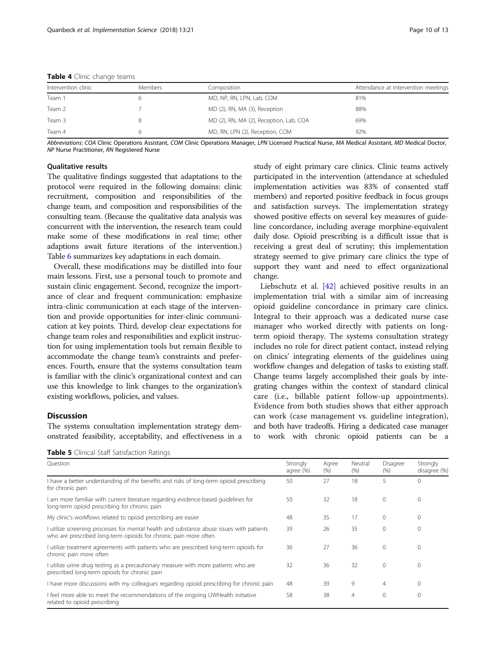|  | . uga . |  |
|--|---------|--|
|  |         |  |
|  |         |  |

<span id="page-9-0"></span>

| Intervention clinic | <b>Members</b> | Composition                             | Attendance at intervention meetings |
|---------------------|----------------|-----------------------------------------|-------------------------------------|
| Team 1              |                | MD, NP, RN, LPN, Lab, COM               | 81%                                 |
| Team 2              |                | MD (2), RN, MA (3), Reception           | 88%                                 |
| Team 3              |                | MD (2), RN, MA (2), Reception, Lab, COA | 69%                                 |
| Team 4              |                | MD, RN, LPN (2), Reception, COM         | 92%                                 |

Abbreviations: COA Clinic Operations Assistant, COM Clinic Operations Manager, LPN Licensed Practical Nurse, MA Medical Assistant, MD Medical Doctor, NP Nurse Practitioner, RN Registered Nurse

# Qualitative results

The qualitative findings suggested that adaptations to the protocol were required in the following domains: clinic recruitment, composition and responsibilities of the change team, and composition and responsibilities of the consulting team. (Because the qualitative data analysis was concurrent with the intervention, the research team could make some of these modifications in real time; other adaptions await future iterations of the intervention.) Table [6](#page-10-0) summarizes key adaptations in each domain.

Overall, these modifications may be distilled into four main lessons. First, use a personal touch to promote and sustain clinic engagement. Second, recognize the importance of clear and frequent communication: emphasize intra-clinic communication at each stage of the intervention and provide opportunities for inter-clinic communication at key points. Third, develop clear expectations for change team roles and responsibilities and explicit instruction for using implementation tools but remain flexible to accommodate the change team's constraints and preferences. Fourth, ensure that the systems consultation team is familiar with the clinic's organizational context and can use this knowledge to link changes to the organization's existing workflows, policies, and values.

## **Discussion**

The systems consultation implementation strategy demonstrated feasibility, acceptability, and effectiveness in a

Table 5 Clinical Staff Satisfaction Ratings

study of eight primary care clinics. Clinic teams actively participated in the intervention (attendance at scheduled implementation activities was 83% of consented staff members) and reported positive feedback in focus groups and satisfaction surveys. The implementation strategy showed positive effects on several key measures of guideline concordance, including average morphine-equivalent daily dose. Opioid prescribing is a difficult issue that is receiving a great deal of scrutiny; this implementation strategy seemed to give primary care clinics the type of support they want and need to effect organizational change.

Liebschutz et al. [[42](#page-12-0)] achieved positive results in an implementation trial with a similar aim of increasing opioid guideline concordance in primary care clinics. Integral to their approach was a dedicated nurse case manager who worked directly with patients on longterm opioid therapy. The systems consultation strategy includes no role for direct patient contact, instead relying on clinics' integrating elements of the guidelines using workflow changes and delegation of tasks to existing staff. Change teams largely accomplished their goals by integrating changes within the context of standard clinical care (i.e., billable patient follow-up appointments). Evidence from both studies shows that either approach can work (case management vs. guideline integration), and both have tradeoffs. Hiring a dedicated case manager work with chronic opioid patients can be a

| Question                                                                                                                                                     | Strongly<br>agree (%) | Agree<br>(% ) | Neutral<br>(96) | Disagree<br>(% ) | Strongly<br>disagree (%) |
|--------------------------------------------------------------------------------------------------------------------------------------------------------------|-----------------------|---------------|-----------------|------------------|--------------------------|
| I have a better understanding of the benefits and risks of long-term opioid prescribing<br>for chronic pain                                                  | 50                    | 27            | 18              | 5                | $\mathbf{0}$             |
| I am more familiar with current literature regarding evidence-based guidelines for<br>long-term opioid prescribing for chronic pain                          | 50                    | 32            | 18              | $\Omega$         | $\mathbf{0}$             |
| My clinic's workflows related to opioid prescribing are easier                                                                                               | 48                    | 35            | 17              | $\Omega$         | $\Omega$                 |
| I utilize screening processes for mental health and substance abuse issues with patients<br>who are prescribed long-term opioids for chronic pain more often | 39                    | 26            | 35              | $\Omega$         | $\Omega$                 |
| I utilize treatment agreements with patients who are prescribed long-term opioids for<br>chronic pain more often                                             | 36                    | 27            | 36              | $\Omega$         | $\mathbf{0}$             |
| I utilize urine drug testing as a precautionary measure with more patients who are<br>prescribed long-term opioids for chronic pain                          | 32                    | 36            | 32              | $\Omega$         | $\mathbf{0}$             |
| I have more discussions with my colleagues regarding opioid prescribing for chronic pain                                                                     | 48                    | 39            | 9               | 4                | 0                        |
| I feel more able to meet the recommendations of the ongoing UWHealth initiative<br>related to opioid prescribing                                             | 58                    | 38            | 4               | $\Omega$         | 0                        |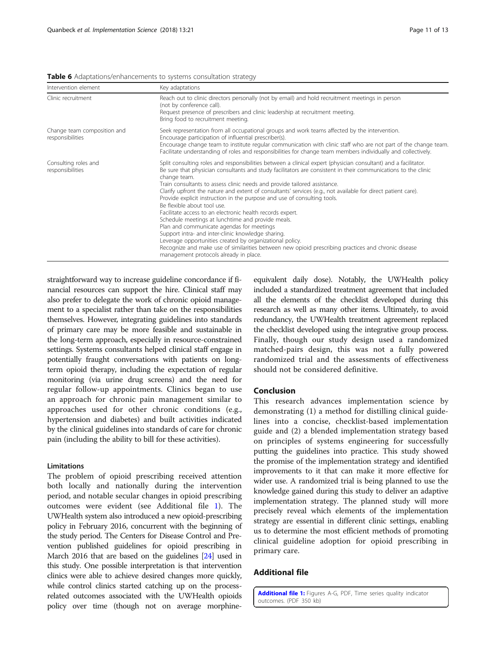<span id="page-10-0"></span>

|  |  | Table 6 Adaptations/enhancements to systems consultation strategy |  |  |  |
|--|--|-------------------------------------------------------------------|--|--|--|
|--|--|-------------------------------------------------------------------|--|--|--|

| Intervention element                            | Key adaptations                                                                                                                                                                                                                                                                                                                                                                                                                                                                                                                                                                                                                                                                                                                                                                                                                                                                                                                                                                              |
|-------------------------------------------------|----------------------------------------------------------------------------------------------------------------------------------------------------------------------------------------------------------------------------------------------------------------------------------------------------------------------------------------------------------------------------------------------------------------------------------------------------------------------------------------------------------------------------------------------------------------------------------------------------------------------------------------------------------------------------------------------------------------------------------------------------------------------------------------------------------------------------------------------------------------------------------------------------------------------------------------------------------------------------------------------|
| Clinic recruitment                              | Reach out to clinic directors personally (not by email) and hold recruitment meetings in person<br>(not by conference call).<br>Request presence of prescribers and clinic leadership at recruitment meeting.<br>Bring food to recruitment meeting.                                                                                                                                                                                                                                                                                                                                                                                                                                                                                                                                                                                                                                                                                                                                          |
| Change team composition and<br>responsibilities | Seek representation from all occupational groups and work teams affected by the intervention.<br>Encourage participation of influential prescriber(s).<br>Encourage change team to institute regular communication with clinic staff who are not part of the change team.<br>Facilitate understanding of roles and responsibilities for change team members individually and collectively.                                                                                                                                                                                                                                                                                                                                                                                                                                                                                                                                                                                                   |
| Consulting roles and<br>responsibilities        | Split consulting roles and responsibilities between a clinical expert (physician consultant) and a facilitator.<br>Be sure that physician consultants and study facilitators are consistent in their communications to the clinic<br>change team.<br>Train consultants to assess clinic needs and provide tailored assistance.<br>Clarify upfront the nature and extent of consultants' services (e.g., not available for direct patient care).<br>Provide explicit instruction in the purpose and use of consulting tools.<br>Be flexible about tool use.<br>Facilitate access to an electronic health records expert.<br>Schedule meetings at lunchtime and provide meals.<br>Plan and communicate agendas for meetings<br>Support intra- and inter-clinic knowledge sharing.<br>Leverage opportunities created by organizational policy.<br>Recognize and make use of similarities between new opioid prescribing practices and chronic disease<br>management protocols already in place. |

straightforward way to increase guideline concordance if financial resources can support the hire. Clinical staff may also prefer to delegate the work of chronic opioid management to a specialist rather than take on the responsibilities themselves. However, integrating guidelines into standards of primary care may be more feasible and sustainable in the long-term approach, especially in resource-constrained settings. Systems consultants helped clinical staff engage in potentially fraught conversations with patients on longterm opioid therapy, including the expectation of regular monitoring (via urine drug screens) and the need for regular follow-up appointments. Clinics began to use an approach for chronic pain management similar to approaches used for other chronic conditions (e.g., hypertension and diabetes) and built activities indicated by the clinical guidelines into standards of care for chronic pain (including the ability to bill for these activities).

# Limitations

The problem of opioid prescribing received attention both locally and nationally during the intervention period, and notable secular changes in opioid prescribing outcomes were evident (see Additional file 1). The UWHealth system also introduced a new opioid-prescribing policy in February 2016, concurrent with the beginning of the study period. The Centers for Disease Control and Prevention published guidelines for opioid prescribing in March 2016 that are based on the guidelines [\[24](#page-11-0)] used in this study. One possible interpretation is that intervention clinics were able to achieve desired changes more quickly, while control clinics started catching up on the processrelated outcomes associated with the UWHealth opioids policy over time (though not on average morphine-

equivalent daily dose). Notably, the UWHealth policy included a standardized treatment agreement that included all the elements of the checklist developed during this research as well as many other items. Ultimately, to avoid redundancy, the UWHealth treatment agreement replaced the checklist developed using the integrative group process. Finally, though our study design used a randomized matched-pairs design, this was not a fully powered randomized trial and the assessments of effectiveness should not be considered definitive.

# Conclusion

This research advances implementation science by demonstrating (1) a method for distilling clinical guidelines into a concise, checklist-based implementation guide and (2) a blended implementation strategy based on principles of systems engineering for successfully putting the guidelines into practice. This study showed the promise of the implementation strategy and identified improvements to it that can make it more effective for wider use. A randomized trial is being planned to use the knowledge gained during this study to deliver an adaptive implementation strategy. The planned study will more precisely reveal which elements of the implementation strategy are essential in different clinic settings, enabling us to determine the most efficient methods of promoting clinical guideline adoption for opioid prescribing in primary care.

# Additional file

[Additional file 1:](dx.doi.org/10.1186/s13012-018-0713-1) Figures A-G, PDF, Time series quality indicator outcomes. (PDF 350 kb)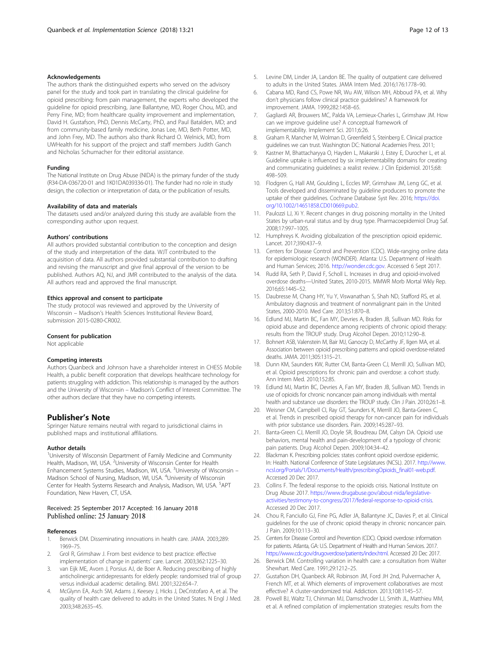#### <span id="page-11-0"></span>Acknowledgements

The authors thank the distinguished experts who served on the advisory panel for the study and took part in translating the clinical guideline for opioid prescribing: from pain management, the experts who developed the guideline for opioid prescribing, Jane Ballantyne, MD, Roger Chou, MD, and Perry Fine, MD; from healthcare quality improvement and implementation, David H. Gustafson, PhD, Dennis McCarty, PhD, and Paul Batalden, MD; and from community-based family medicine, Jonas Lee, MD, Beth Potter, MD, and John Frey, MD. The authors also thank Richard O. Welnick, MD, from UWHealth for his support of the project and staff members Judith Ganch and Nicholas Schumacher for their editorial assistance.

#### Funding

The National Institute on Drug Abuse (NIDA) is the primary funder of the study (R34-DA-036720-01 and 1K01DA039336-01). The funder had no role in study design, the collection or interpretation of data, or the publication of results.

#### Availability of data and materials

The datasets used and/or analyzed during this study are available from the corresponding author upon request.

#### Authors' contributions

All authors provided substantial contribution to the conception and design of the study and interpretation of the data. WJT contributed to the acquisition of data. All authors provided substantial contribution to drafting and revising the manuscript and give final approval of the version to be published. Authors AQ, NJ, and JMR contributed to the analysis of the data. All authors read and approved the final manuscript.

#### Ethics approval and consent to participate

The study protocol was reviewed and approved by the University of Wisconsin – Madison's Health Sciences Institutional Review Board, submission 2015-0280-CR002.

#### Consent for publication

Not applicable

#### Competing interests

Authors Quanbeck and Johnson have a shareholder interest in CHESS Mobile Health, a public benefit corporation that develops healthcare technology for patients struggling with addiction. This relationship is managed by the authors and the University of Wisconsin – Madison's Conflict of Interest Committee. The other authors declare that they have no competing interests.

#### Publisher's Note

Springer Nature remains neutral with regard to jurisdictional claims in published maps and institutional affiliations.

#### Author details

<sup>1</sup> University of Wisconsin Department of Family Medicine and Community Health, Madison, WI, USA. <sup>2</sup>University of Wisconsin Center for Health Enhancement Systems Studies, Madison, WI, USA. <sup>3</sup>University of Wisconsin -Madison School of Nursing, Madison, WI, USA. <sup>4</sup>University of Wisconsin Center for Health Systems Research and Analysis, Madison, WI, USA. <sup>5</sup>APT Foundation, New Haven, CT, USA.

#### Received: 25 September 2017 Accepted: 16 January 2018 Published online: 25 January 2018

#### References

- 1. Berwick DM. Disseminating innovations in health care. JAMA. 2003;289: 1969–75.
- 2. Grol R, Grimshaw J. From best evidence to best practice: effective implementation of change in patients' care. Lancet. 2003;362:1225–30.
- 3. van Eijk ME, Avorn J, Porsius AJ, de Boer A. Reducing prescribing of highly anticholinergic antidepressants for elderly people: randomised trial of group versus individual academic detailing. BMJ. 2001;322:654–7.
- 4. McGlynn EA, Asch SM, Adams J, Keesey J, Hicks J, DeCristofaro A, et al. The quality of health care delivered to adults in the United States. N Engl J Med. 2003;348:2635–45.
- 5. Levine DM, Linder JA, Landon BE. The quality of outpatient care delivered to adults in the United States. JAMA Intern Med. 2016;176:1778–90.
- 6. Cabana MD, Rand CS, Powe NR, Wu AW, Wilson MH, Abboud PA, et al. Why don't physicians follow clinical practice guidelines? A framework for improvement. JAMA. 1999;282:1458–65.
- 7. Gagliardi AR, Brouwers MC, Palda VA, Lemieux-Charles L, Grimshaw JM. How can we improve guideline use? A conceptual framework of implementability. Implement Sci. 2011;6:26.
- 8. Graham R, Mancher M, Wolman D, Greenfield S, Steinberg E. Clinical practice guidelines we can trust. Washington DC: National Academies Press. 2011;
- Kastner M, Bhattacharyya O, Hayden L, Makarski J, Estey E, Durocher L, et al. Guideline uptake is influenced by six implementability domains for creating and communicating guidelines: a realist review. J Clin Epidemiol. 2015;68: 498–509.
- 10. Flodgren G, Hall AM, Goulding L, Eccles MP, Grimshaw JM, Leng GC, et al. Tools developed and disseminated by guideline producers to promote the uptake of their guidelines. Cochrane Database Syst Rev. 2016; [https://doi.](http://dx.doi.org/10.1002/14651858.CD010669.pub2) [org/10.1002/14651858.CD010669.pub2.](http://dx.doi.org/10.1002/14651858.CD010669.pub2)
- 11. Paulozzi LJ, Xi Y. Recent changes in drug poisoning mortality in the United States by urban-rural status and by drug type. Pharmacoepidemiol Drug Saf. 2008;17:997–1005.
- 12. Humphreys K. Avoiding globalization of the prescription opioid epidemic. Lancet. 2017;390:437–9.
- 13. Centers for Disease Control and Prevention (CDC). Wide-ranging online data for epidemiologic research (WONDER). Atlanta: U.S. Department of Health and Human Services; 2016. [http://wonder.cdc.gov.](http://wonder.cdc.gov) Accessed 6 Sept 2017.
- 14. Rudd RA, Seth P, David F, Scholl L. Increases in drug and opioid-involved overdose deaths—United States, 2010-2015. MMWR Morb Mortal Wkly Rep. 2016;65:1445–52.
- 15. Daubresse M, Chang HY, Yu Y, Viswanathan S, Shah ND, Stafford RS, et al. Ambulatory diagnosis and treatment of nonmalignant pain in the United States, 2000-2010. Med Care. 2013;51:870–8.
- 16. Edlund MJ, Martin BC, Fan MY, Devries A, Braden JB, Sullivan MD. Risks for opioid abuse and dependence among recipients of chronic opioid therapy: results from the TROUP study. Drug Alcohol Depen. 2010;112:90–8.
- 17. Bohnert ASB, Valenstein M, Bair MJ, Ganoczy D, McCarthy JF, Ilgen MA, et al. Association between opioid prescribing patterns and opioid overdose-related deaths. JAMA. 2011;305:1315–21.
- 18. Dunn KM, Saunders KW, Rutter CM, Banta-Green CJ, Merrill JO, Sullivan MD, et al. Opioid prescriptions for chronic pain and overdose: a cohort study. Ann Intern Med. 2010;152:85.
- 19. Edlund MJ, Martin BC, Devries A, Fan MY, Braden JB, Sullivan MD. Trends in use of opioids for chronic noncancer pain among individuals with mental health and substance use disorders: the TROUP study. Clin J Pain. 2010;26:1–8.
- 20. Weisner CM, Campbell CI, Ray GT, Saunders K, Merrill JO, Banta-Green C, et al. Trends in prescribed opioid therapy for non-cancer pain for individuals with prior substance use disorders. Pain. 2009;145:287–93.
- 21. Banta-Green CJ, Merrill JO, Doyle SR, Boudreau DM, Calsyn DA. Opioid use behaviors, mental health and pain-development of a typology of chronic pain patients. Drug Alcohol Depen. 2009;104:34–42.
- 22. Blackman K. Prescribing policies: states confront opioid overdose epidemic. In: Health. National Conference of State Legislatures (NCSL). 2017. [http://www.](http://www.ncsl.org/Portals/1/Documents/Health/prescribingOpioids_final01-web.pdf) [ncsl.org/Portals/1/Documents/Health/prescribingOpioids\\_final01-web.pdf](http://www.ncsl.org/Portals/1/Documents/Health/prescribingOpioids_final01-web.pdf). Accessed 20 Dec 2017.
- 23. Collins F. The federal response to the opioids crisis. National Institute on Drug Abuse 2017. [https://www.drugabuse.gov/about-nida/legislative](https://www.drugabuse.gov/about-nida/legislative-activities/testimony-to-congress/2017/federal-response-to-opioid-crisis)[activities/testimony-to-congress/2017/federal-response-to-opioid-crisis](https://www.drugabuse.gov/about-nida/legislative-activities/testimony-to-congress/2017/federal-response-to-opioid-crisis). Accessed 20 Dec 2017.
- 24. Chou R, Fanciullo GJ, Fine PG, Adler JA, Ballantyne JC, Davies P, et al. Clinical guidelines for the use of chronic opioid therapy in chronic noncancer pain. J Pain. 2009;10:113–30.
- 25. Centers for Disease Control and Prevention (CDC). Opioid overdose: information for patients. Atlanta, GA: U.S. Department of Health and Human Services. 2017. [https://www.cdc.gov/drugoverdose/patients/index.html.](https://www.cdc.gov/drugoverdose/patients/index.html) Accessed 20 Dec 2017.
- 26. Berwick DM. Controlling variation in health care: a consultation from Walter Shewhart. Med Care. 1991;29:1212–25.
- 27. Gustafson DH, Quanbeck AR, Robinson JM, Ford JH 2nd, Pulvermacher A, French MT, et al. Which elements of improvement collaboratives are most effective? A cluster-randomized trial. Addiction. 2013;108:1145–57.
- 28. Powell BJ, Waltz TJ, Chinman MJ, Damschroder LJ, Smith JL, Matthieu MM, et al. A refined compilation of implementation strategies: results from the